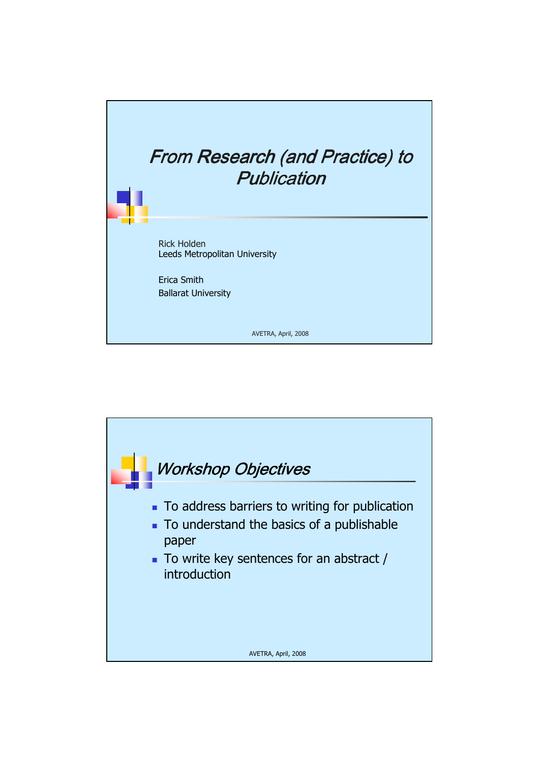

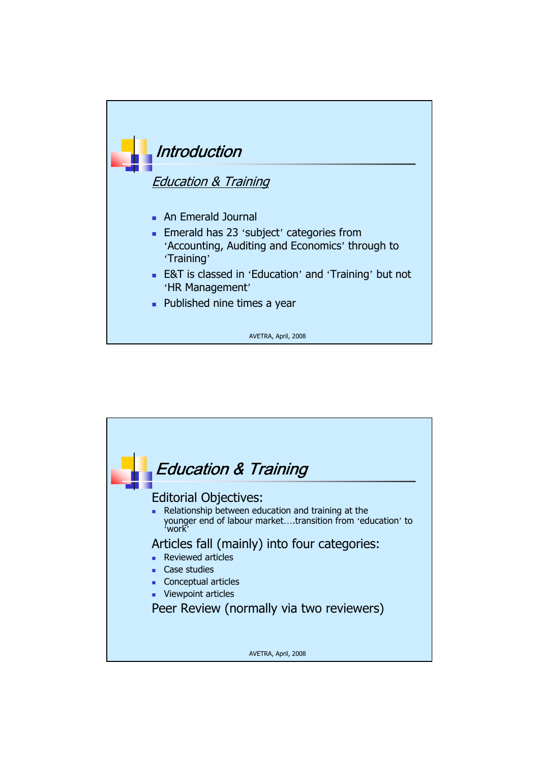

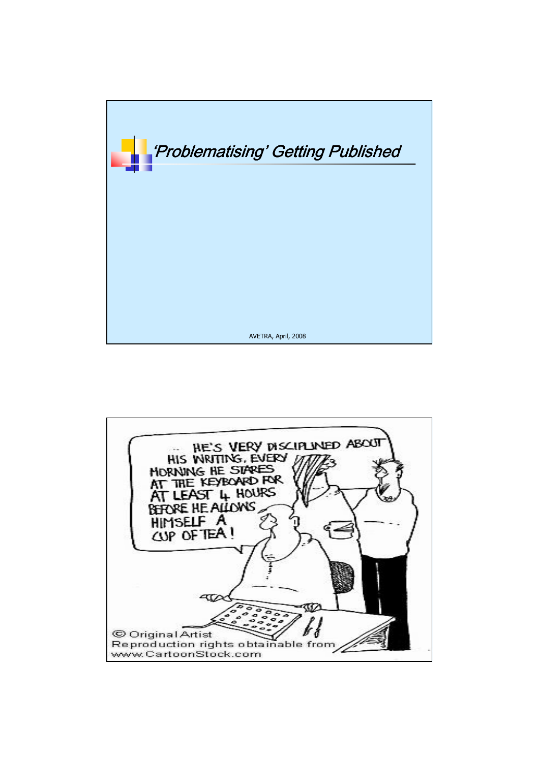

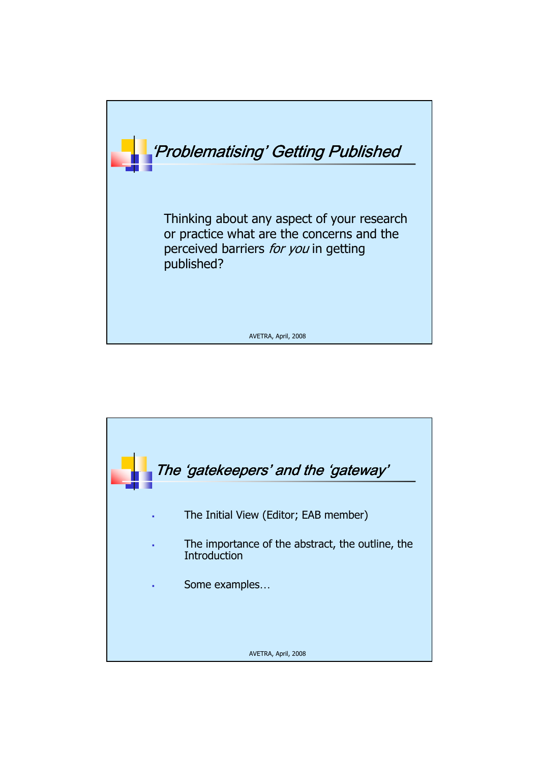

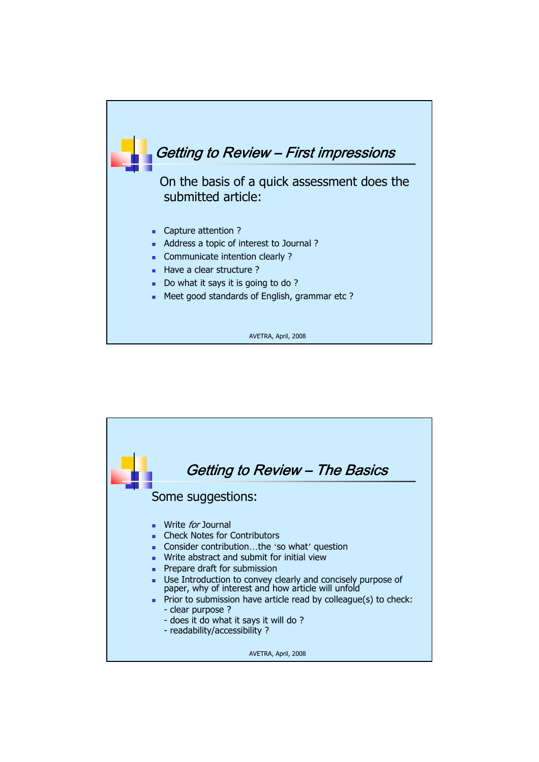

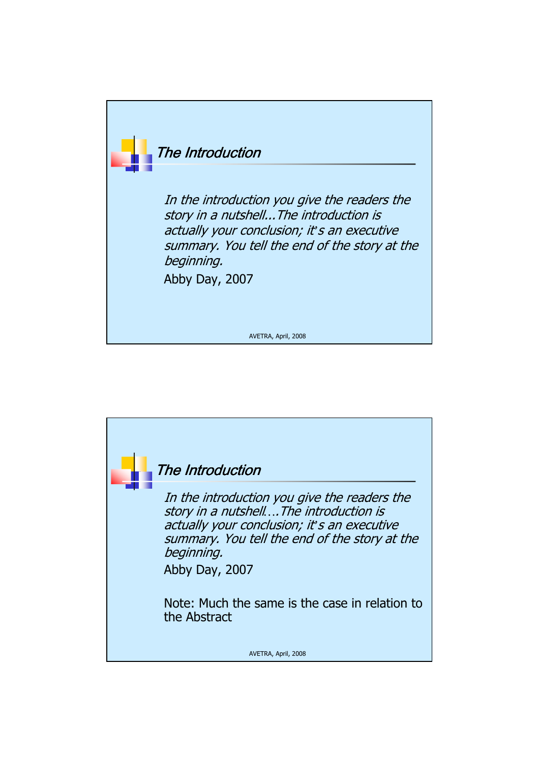

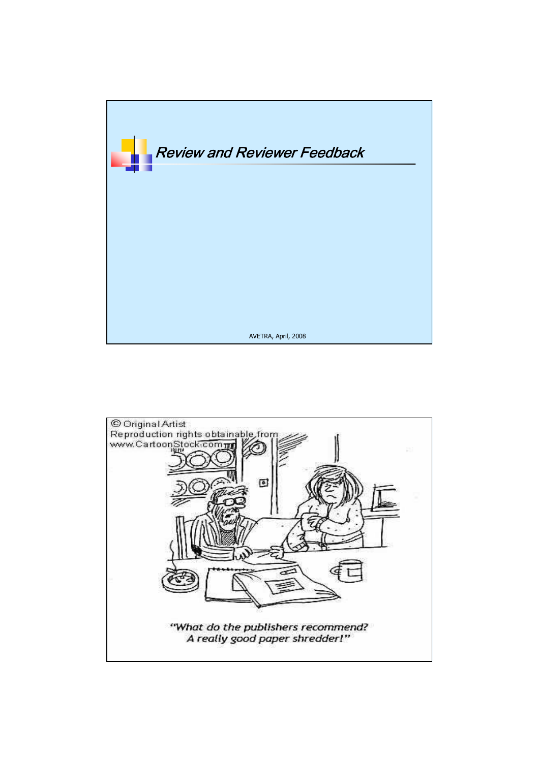

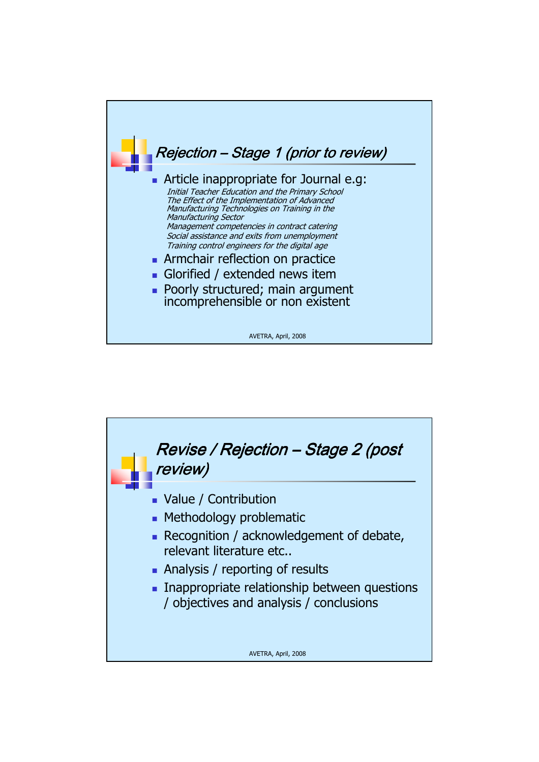

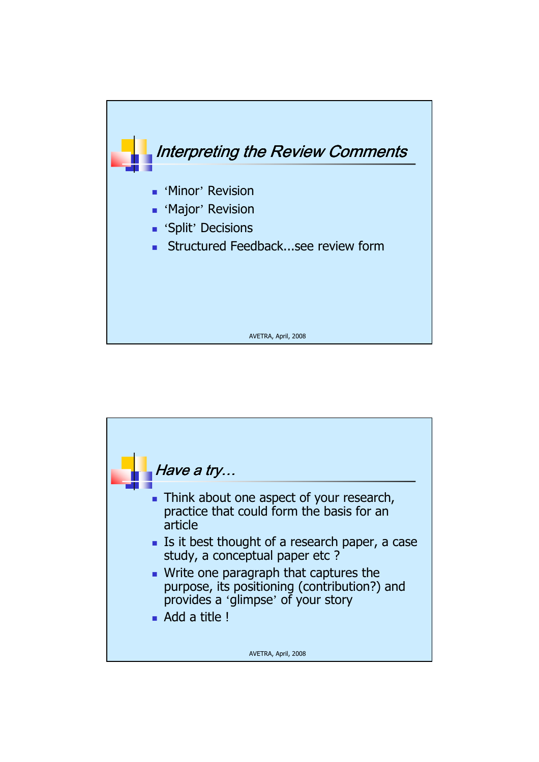